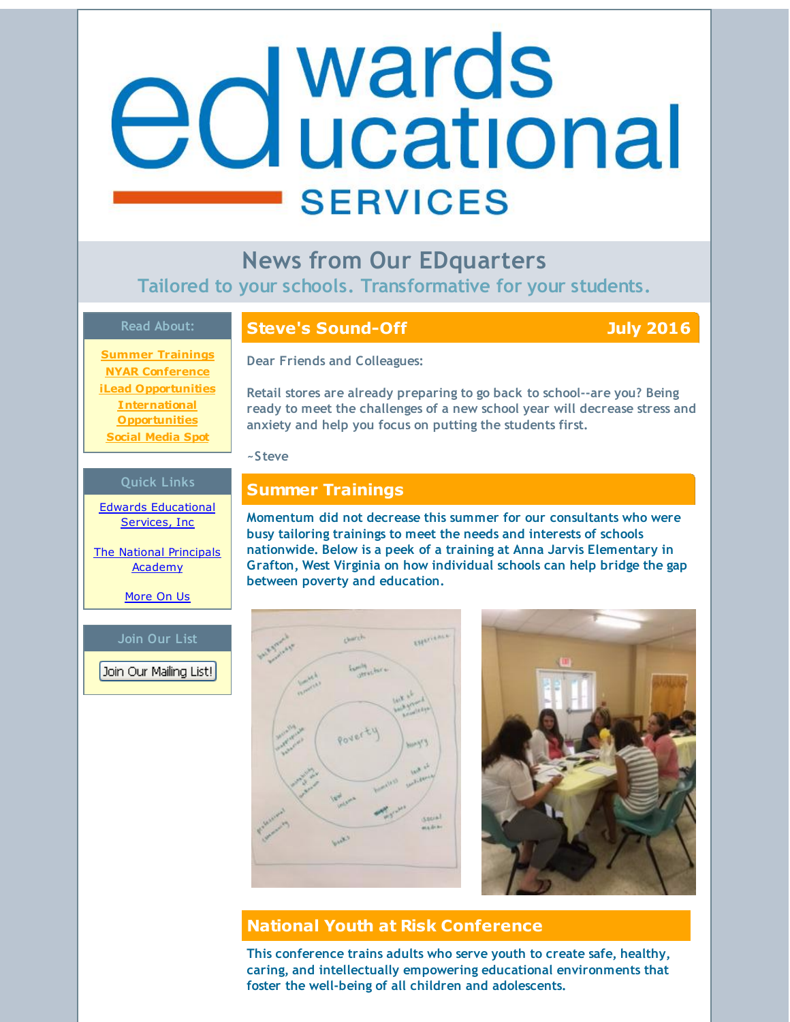# <span id="page-0-0"></span>wards **Clucational SERVICES**

**News from Our EDquarters Tailored to your schools. Transformative for your students.**

### **Read About:**

### **Steve's Sound-Off July 2016**

**Summer [Trainings](#page-0-0) NYAR [Conference](#page-0-0) iLead [Opportunities](#page-0-0) [International](#page-0-0) Opportunities Social [Media](#page-0-0) Spot**

### **Dear Friends and Colleagues:**

**Retail stores are already preparing to go back to school--are you? Being ready to meet the challenges of a new school year will decrease stress and anxiety and help you focus on putting the students first.**

**~Steve**

### **Quick Links Summer Trainings**

Edwards [Educational](http://r20.rs6.net/tn.jsp?f=0014XWVpnmzHxcU3NwWjZ2j3JHjTVLP1bd1vETdnKw-0AlMktEth6hW1lIAGaMLqmu8QENcJYOq3QB1_66QVA6Llh7m4ECQWQ-ZYkrfQKwEmQFnvUKXEdSVp-1CV67jGT0qvuQ7Myhex8vxlaBrxEEirAEp_8n8bEANji2uyQcBs0BX7FZd0A_pHg==&c=&ch=) Services, Inc

The National [Principals](http://r20.rs6.net/tn.jsp?f=0014XWVpnmzHxcU3NwWjZ2j3JHjTVLP1bd1vETdnKw-0AlMktEth6hW1s0OYKM-YKTbX5QCtsdq26kCjBZ3rUlU3yRdXWxe7woaQEAMuA218eAY4vZ7wAMVKPZyFQda34S563pxiDflrtVIU4fGQz0iG1PYk2kPtL2d_mUCXb4EnVCJbum1ujhJgkyXjdH6DbL7&c=&ch=) **Academy** 

[More](http://r20.rs6.net/tn.jsp?f=0014XWVpnmzHxcU3NwWjZ2j3JHjTVLP1bd1vETdnKw-0AlMktEth6hW1mVyL-wXagcM-Ly4jrQj1husgauyUQ_Mx425dVxOxGhlAm6pkhFlw1roiLTXAKpTKU0rb5jOqFOgYdeXiVfcLzjeuCLmAwslJLTGh8xDYRQdCvW7YlX1F2QliXHBeUdIAFsUJp04jBcM&c=&ch=) On Us

### **Join Our List**

Join Our Mailing List!

**Momentum did not decrease this summer for our consultants who were busy tailoring trainings to meet the needs and interests of schools nationwide. Below is a peek of a training at Anna Jarvis Elementary in Grafton, West Virginia on how individual schools can help bridge the gap between poverty and education.**





# **National Youth at Risk Conference**

**This conference trains adults who serve youth to create safe, healthy, caring, and intellectually empowering educational environments that foster the well-being of all children and adolescents.**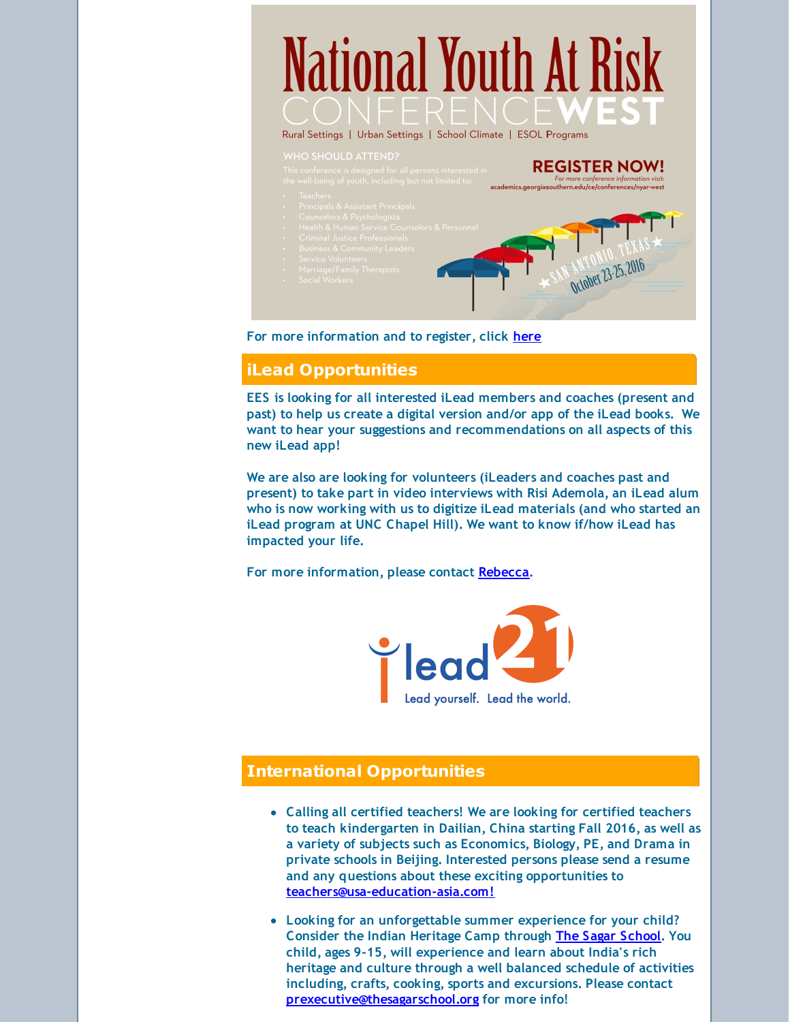# National Youth At Risk

Rural Settings | Urban Settings | School Climate | ESOL Programs

**REGISTER NOW!** For more conference information visit:<br>| issouthern.edu/ce/conferences/nyar-west October 23-25, 2016

**For more information and to register, click [here](http://r20.rs6.net/tn.jsp?f=0014XWVpnmzHxcU3NwWjZ2j3JHjTVLP1bd1vETdnKw-0AlMktEth6hW1myEqXRfNtXX0DqpxNLJAKJ-_nR-MhvxbzYcqnq3SKOLGOQzN5wypj9gL7eZjIpJ1FYZt5-qwxl2PFc4dnXjIbbELjnnEHOZ1rjF_yo6eT4mIuKM7czCFgjo4L6IEoNf0tttsZSAEPRKPII1rUIXDtZZQcOfFusqnFw6VvEcUCAd7wMEjxHTBhc=&c=&ch=)**

## **iLead Opportunities**

**EES is looking for all interested iLead members and coaches (present and past) to help us create a digital version and/or app of the iLead books. We want to hear your suggestions and recommendations on all aspects of this new iLead app!**

**We are also are looking for volunteers (iLeaders and coaches past and present) to take part in video interviews with Risi Ademola, an iLead alum who is now working with us to digitize iLead materials (and who started an iLead program at UNC Chapel Hill). We want to know if/how iLead has impacted your life.**

**For more information, please contact [Rebecca](mailto:rebecca@edwardsedservices.com).**



### **International Opportunities**

- **Calling all certified teachers! We are looking for certified teachers to teach kindergarten in Dailian, China starting Fall 2016, as well as a variety of subjects such as Economics, Biology, PE, and Drama in private schools in Beijing. Interested persons please send a resume and any questions about these exciting opportunities to [teachers@usa-education-asia.com!](mailto:teachers@usa-education-asia.com)**
- **Looking for an unforgettable summer experience for your child? Consider the Indian Heritage Camp through The Sagar [School](http://r20.rs6.net/tn.jsp?f=0014XWVpnmzHxcU3NwWjZ2j3JHjTVLP1bd1vETdnKw-0AlMktEth6hW1qPzRXER74bkqaDjGEXN5TIm5E31wehrbGiZACHb66kx0TK1M2ZQ-2pp_Un2zVQMGby0JWYBa3H8oRusMpsuHwFqBZ-HAox20NllcmJDT29YtSSwee9cNK3jU5wR0Un1gQ==&c=&ch=). You child, ages 9-15, will experience and learn about India's rich heritage and culture through a well balanced schedule of activities including, crafts, cooking, sports and excursions. Please contact [prexecutive@thesagarschool.org](mailto:prexecutive@thesagarschool.org) for more info!**